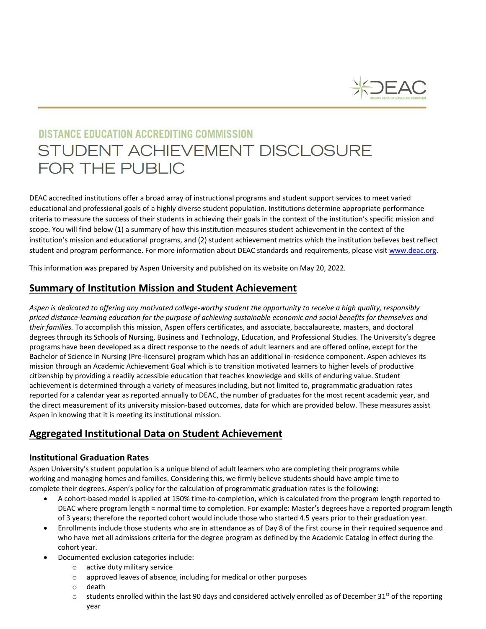

# **DISTANCE EDUCATION ACCREDITING COMMISSION** STUDENT ACHIEVEMENT DISCLOSURE FOR THE PUBLIC

DEAC accredited institutions offer a broad array of instructional programs and student support services to meet varied educational and professional goals of a highly diverse student population. Institutions determine appropriate performance criteria to measure the success of their students in achieving their goals in the context of the institution's specific mission and scope. You will find below (1) a summary of how this institution measures student achievement in the context of the institution's mission and educational programs, and (2) student achievement metrics which the institution believes best reflect student and program performance. For more information about DEAC standards and requirements, please visi[t www.deac.org.](http://www.deac.org/)

This information was prepared by Aspen University and published on its website on May 20, 2022.

# **Summary of Institution Mission and Student Achievement**

*Aspen is dedicated to offering any motivated college-worthy student the opportunity to receive a high quality, responsibly priced distance-learning education for the purpose of achieving sustainable economic and social benefits for themselves and their families.* To accomplish this mission, Aspen offers certificates, and associate, baccalaureate, masters, and doctoral degrees through its Schools of Nursing, Business and Technology, Education, and Professional Studies. The University's degree programs have been developed as a direct response to the needs of adult learners and are offered online, except for the Bachelor of Science in Nursing (Pre-licensure) program which has an additional in-residence component. Aspen achieves its mission through an Academic Achievement Goal which is to transition motivated learners to higher levels of productive citizenship by providing a readily accessible education that teaches knowledge and skills of enduring value. Student achievement is determined through a variety of measures including, but not limited to, programmatic graduation rates reported for a calendar year as reported annually to DEAC, the number of graduates for the most recent academic year, and the direct measurement of its university mission-based outcomes, data for which are provided below. These measures assist Aspen in knowing that it is meeting its institutional mission.

# **Aggregated Institutional Data on Student Achievement**

## **Institutional Graduation Rates**

Aspen University's student population is a unique blend of adult learners who are completing their programs while working and managing homes and families. Considering this, we firmly believe students should have ample time to complete their degrees. Aspen's policy for the calculation of programmatic graduation rates is the following:

- A cohort-based model is applied at 150% time-to-completion, which is calculated from the program length reported to DEAC where program length = normal time to completion. For example: Master's degrees have a reported program length of 3 years; therefore the reported cohort would include those who started 4.5 years prior to their graduation year.
- Enrollments include those students who are in attendance as of Day 8 of the first course in their required sequence and who have met all admissions criteria for the degree program as defined by the Academic Catalog in effect during the cohort year.
- Documented exclusion categories include:
	- o active duty military service
	- o approved leaves of absence, including for medical or other purposes
	- o death
	- $\circ$  students enrolled within the last 90 days and considered actively enrolled as of December 31<sup>st</sup> of the reporting year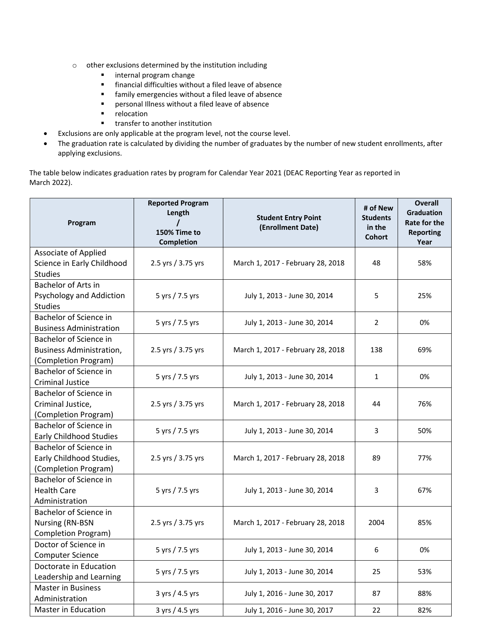- $\circ$  other exclusions determined by the institution including<br>internal program change
	- internal program change
	- financial difficulties without a filed leave of absence
	- family emergencies without a filed leave of absence
	- **Personal Illness without a filed leave of absence**<br> **Personal interparament in the end**<br> **Personal interparament in the end**<br> **Personal interparament in the end**<br> **Personal interparament in the end**<br> **Personal interparame**
	- relocation
	- **u** transfer to another institution
- Exclusions are only applicable at the program level, not the course level.
- The graduation rate is calculated by dividing the number of graduates by the number of new student enrollments, after applying exclusions.

The table below indicates graduation rates by program for Calendar Year 2021 (DEAC Reporting Year as reported in March 2022).

| Program                                                                           | <b>Reported Program</b><br>Length<br>150% Time to<br>Completion | <b>Student Entry Point</b><br>(Enrollment Date) | # of New<br><b>Students</b><br>in the<br><b>Cohort</b> | <b>Overall</b><br><b>Graduation</b><br><b>Rate for the</b><br><b>Reporting</b><br>Year |
|-----------------------------------------------------------------------------------|-----------------------------------------------------------------|-------------------------------------------------|--------------------------------------------------------|----------------------------------------------------------------------------------------|
| Associate of Applied<br>Science in Early Childhood<br><b>Studies</b>              | 2.5 yrs / 3.75 yrs                                              | March 1, 2017 - February 28, 2018               | 48                                                     | 58%                                                                                    |
| <b>Bachelor of Arts in</b><br>Psychology and Addiction<br><b>Studies</b>          | 5 yrs / 7.5 yrs                                                 | July 1, 2013 - June 30, 2014                    | 5                                                      | 25%                                                                                    |
| Bachelor of Science in<br><b>Business Administration</b>                          | 5 yrs / 7.5 yrs                                                 | July 1, 2013 - June 30, 2014                    | 2                                                      | 0%                                                                                     |
| Bachelor of Science in<br><b>Business Administration,</b><br>(Completion Program) | 2.5 yrs / 3.75 yrs                                              | March 1, 2017 - February 28, 2018               | 138                                                    | 69%                                                                                    |
| Bachelor of Science in<br><b>Criminal Justice</b>                                 | 5 yrs / 7.5 yrs                                                 | July 1, 2013 - June 30, 2014                    | $\mathbf{1}$                                           | 0%                                                                                     |
| Bachelor of Science in<br>Criminal Justice,<br>(Completion Program)               | 2.5 yrs / 3.75 yrs                                              | March 1, 2017 - February 28, 2018               | 44                                                     | 76%                                                                                    |
| Bachelor of Science in<br><b>Early Childhood Studies</b>                          | 5 yrs / 7.5 yrs                                                 | July 1, 2013 - June 30, 2014                    | 3                                                      | 50%                                                                                    |
| Bachelor of Science in<br>Early Childhood Studies,<br>(Completion Program)        | 2.5 yrs / 3.75 yrs                                              | March 1, 2017 - February 28, 2018               | 89                                                     | 77%                                                                                    |
| Bachelor of Science in<br><b>Health Care</b><br>Administration                    | 5 yrs / 7.5 yrs                                                 | July 1, 2013 - June 30, 2014                    | 3                                                      | 67%                                                                                    |
| Bachelor of Science in<br><b>Nursing (RN-BSN</b><br>Completion Program)           | 2.5 yrs / 3.75 yrs                                              | March 1, 2017 - February 28, 2018               | 2004                                                   | 85%                                                                                    |
| Doctor of Science in<br><b>Computer Science</b>                                   | 5 yrs / 7.5 yrs                                                 | July 1, 2013 - June 30, 2014                    | 6                                                      | 0%                                                                                     |
| Doctorate in Education<br>Leadership and Learning                                 | 5 yrs / 7.5 yrs                                                 | July 1, 2013 - June 30, 2014                    | 25                                                     | 53%                                                                                    |
| <b>Master in Business</b><br>Administration                                       | 3 yrs / 4.5 yrs                                                 | July 1, 2016 - June 30, 2017                    | 87                                                     | 88%                                                                                    |
| Master in Education                                                               | 3 yrs / 4.5 yrs                                                 | July 1, 2016 - June 30, 2017                    | 22                                                     | 82%                                                                                    |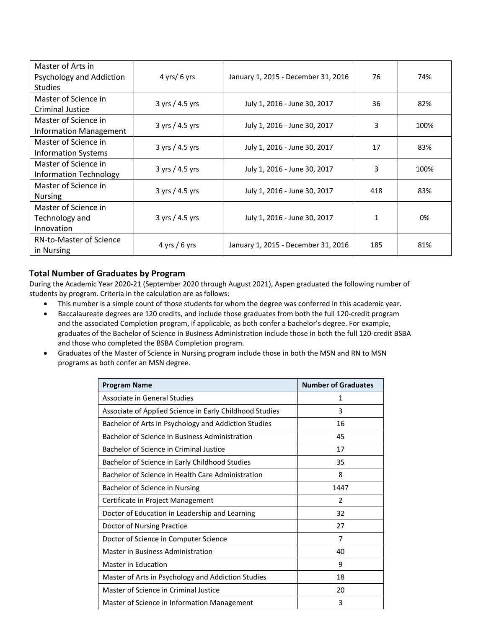| Master of Arts in<br>Psychology and Addiction<br><b>Studies</b> | $4$ yrs/ 6 yrs          | January 1, 2015 - December 31, 2016 | 76  | 74%  |
|-----------------------------------------------------------------|-------------------------|-------------------------------------|-----|------|
| Master of Science in<br>Criminal Justice                        | $3 \gamma$ rs / 4.5 yrs | July 1, 2016 - June 30, 2017        | 36  | 82%  |
| Master of Science in<br><b>Information Management</b>           | 3 yrs / 4.5 yrs         | July 1, 2016 - June 30, 2017        | 3   | 100% |
| Master of Science in<br><b>Information Systems</b>              | $3 \gamma$ rs / 4.5 yrs | July 1, 2016 - June 30, 2017        | 17  | 83%  |
| Master of Science in<br><b>Information Technology</b>           | $3 \gamma$ rs / 4.5 yrs | July 1, 2016 - June 30, 2017        | 3   | 100% |
| Master of Science in<br><b>Nursing</b>                          | $3 \gamma$ rs / 4.5 yrs | July 1, 2016 - June 30, 2017        | 418 | 83%  |
| Master of Science in<br>Technology and<br>Innovation            | 3 yrs / 4.5 yrs         | July 1, 2016 - June 30, 2017        | 1   | 0%   |
| <b>RN-to-Master of Science</b><br>in Nursing                    | $4 \gamma$ rs / 6 yrs   | January 1, 2015 - December 31, 2016 | 185 | 81%  |

### **Total Number of Graduates by Program**

During the Academic Year 2020-21 (September 2020 through August 2021), Aspen graduated the following number of students by program. Criteria in the calculation are as follows:

- This number is a simple count of those students for whom the degree was conferred in this academic year.
- Baccalaureate degrees are 120 credits, and include those graduates from both the full 120-credit program and the associated Completion program, if applicable, as both confer a bachelor's degree. For example, graduates of the Bachelor of Science in Business Administration include those in both the full 120-credit BSBA and those who completed the BSBA Completion program.
- Graduates of the Master of Science in Nursing program include those in both the MSN and RN to MSN programs as both confer an MSN degree.

| <b>Program Name</b>                                     | <b>Number of Graduates</b> |  |
|---------------------------------------------------------|----------------------------|--|
| Associate in General Studies                            | 1                          |  |
| Associate of Applied Science in Early Childhood Studies | 3                          |  |
| Bachelor of Arts in Psychology and Addiction Studies    | 16                         |  |
| Bachelor of Science in Business Administration          | 45                         |  |
| Bachelor of Science in Criminal Justice                 | 17                         |  |
| Bachelor of Science in Early Childhood Studies          | 35                         |  |
| Bachelor of Science in Health Care Administration       | 8                          |  |
| Bachelor of Science in Nursing                          | 1447                       |  |
| Certificate in Project Management                       | $\overline{2}$             |  |
| Doctor of Education in Leadership and Learning          | 32                         |  |
| Doctor of Nursing Practice                              | 27                         |  |
| Doctor of Science in Computer Science                   | 7                          |  |
| Master in Business Administration                       | 40                         |  |
| <b>Master in Education</b>                              | 9                          |  |
| Master of Arts in Psychology and Addiction Studies      | 18                         |  |
| Master of Science in Criminal Justice                   | 20                         |  |
| Master of Science in Information Management             | 3                          |  |